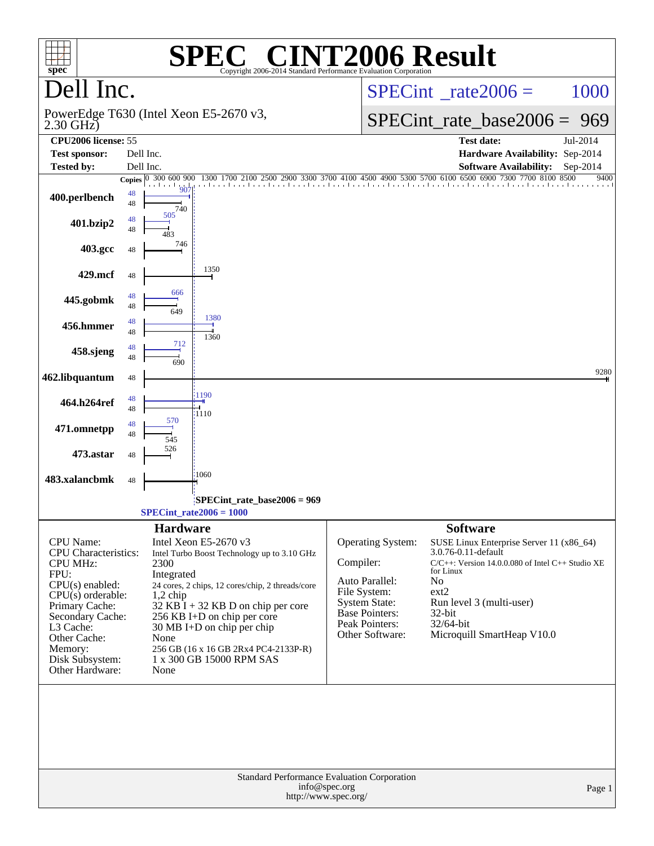| $spec^*$                                                                                                                                                                                                                            | <b>SPE</b><br>Copyright 2006-2014 Standard Performance Evaluation Corporation                                                                                                                                                                                                                                                                                   | <b>C® CINT2006 Result</b>                                                                                                                                                                                                                                                                                                                                                                      |
|-------------------------------------------------------------------------------------------------------------------------------------------------------------------------------------------------------------------------------------|-----------------------------------------------------------------------------------------------------------------------------------------------------------------------------------------------------------------------------------------------------------------------------------------------------------------------------------------------------------------|------------------------------------------------------------------------------------------------------------------------------------------------------------------------------------------------------------------------------------------------------------------------------------------------------------------------------------------------------------------------------------------------|
| Dell Inc.                                                                                                                                                                                                                           |                                                                                                                                                                                                                                                                                                                                                                 | $SPECint^{\circ}$ <sub>_rate2006</sub> =<br>1000                                                                                                                                                                                                                                                                                                                                               |
| $2.30$ GHz)                                                                                                                                                                                                                         | PowerEdge T630 (Intel Xeon E5-2670 v3,                                                                                                                                                                                                                                                                                                                          | $SPECint_rate\_base2006 =$<br>969                                                                                                                                                                                                                                                                                                                                                              |
| CPU2006 license: 55<br><b>Test sponsor:</b>                                                                                                                                                                                         | Dell Inc.                                                                                                                                                                                                                                                                                                                                                       | <b>Test date:</b><br>Jul-2014<br>Hardware Availability: Sep-2014                                                                                                                                                                                                                                                                                                                               |
| <b>Tested by:</b>                                                                                                                                                                                                                   | Dell Inc.                                                                                                                                                                                                                                                                                                                                                       | <b>Software Availability:</b><br>$Sep-2014$<br>6900 7300 7700 8100 8500                                                                                                                                                                                                                                                                                                                        |
| 400.perlbench                                                                                                                                                                                                                       | Copies 0 300 600 900<br>1300 1700 2100<br>907<br>48<br>48<br>740<br>505                                                                                                                                                                                                                                                                                         | 2500 2900 3300 3700 4100 4500 4900 5300 5700 6100 6500<br>9400<br>the color of the color of the class for a bound continued continued and continued are for                                                                                                                                                                                                                                    |
| 401.bzip2                                                                                                                                                                                                                           | 48<br>48                                                                                                                                                                                                                                                                                                                                                        |                                                                                                                                                                                                                                                                                                                                                                                                |
| 403.gcc                                                                                                                                                                                                                             | 746<br>48                                                                                                                                                                                                                                                                                                                                                       |                                                                                                                                                                                                                                                                                                                                                                                                |
| 429.mcf                                                                                                                                                                                                                             | 1350<br>48                                                                                                                                                                                                                                                                                                                                                      |                                                                                                                                                                                                                                                                                                                                                                                                |
| 445.gobmk                                                                                                                                                                                                                           | 666<br>48<br>48<br>649                                                                                                                                                                                                                                                                                                                                          |                                                                                                                                                                                                                                                                                                                                                                                                |
| 456.hmmer                                                                                                                                                                                                                           | 1380<br>48<br>48<br>1360                                                                                                                                                                                                                                                                                                                                        |                                                                                                                                                                                                                                                                                                                                                                                                |
| 458.sjeng                                                                                                                                                                                                                           | 712<br>48<br>48<br>690                                                                                                                                                                                                                                                                                                                                          |                                                                                                                                                                                                                                                                                                                                                                                                |
| 462.libquantum                                                                                                                                                                                                                      | 48                                                                                                                                                                                                                                                                                                                                                              | 9280                                                                                                                                                                                                                                                                                                                                                                                           |
| 464.h264ref                                                                                                                                                                                                                         | 1190<br>48<br>48<br>1110                                                                                                                                                                                                                                                                                                                                        |                                                                                                                                                                                                                                                                                                                                                                                                |
| 471.omnetpp                                                                                                                                                                                                                         | 570<br>48<br>48<br>545                                                                                                                                                                                                                                                                                                                                          |                                                                                                                                                                                                                                                                                                                                                                                                |
| 473.astar                                                                                                                                                                                                                           | 526<br>48                                                                                                                                                                                                                                                                                                                                                       |                                                                                                                                                                                                                                                                                                                                                                                                |
| 483.xalancbmk                                                                                                                                                                                                                       | 1060<br>48                                                                                                                                                                                                                                                                                                                                                      |                                                                                                                                                                                                                                                                                                                                                                                                |
|                                                                                                                                                                                                                                     | SPECint rate base $2006 = 969$<br>$SPECint_rate2006 = 1000$                                                                                                                                                                                                                                                                                                     |                                                                                                                                                                                                                                                                                                                                                                                                |
|                                                                                                                                                                                                                                     | <b>Hardware</b>                                                                                                                                                                                                                                                                                                                                                 | <b>Software</b>                                                                                                                                                                                                                                                                                                                                                                                |
| CPU Name:<br><b>CPU</b> Characteristics:<br><b>CPU MHz:</b><br>FPU:<br>$CPU(s)$ enabled:<br>$CPU(s)$ orderable:<br>Primary Cache:<br>Secondary Cache:<br>L3 Cache:<br>Other Cache:<br>Memory:<br>Disk Subsystem:<br>Other Hardware: | Intel Xeon E5-2670 v3<br>Intel Turbo Boost Technology up to 3.10 GHz<br>2300<br>Integrated<br>24 cores, 2 chips, 12 cores/chip, 2 threads/core<br>$1,2$ chip<br>$32$ KB I + 32 KB D on chip per core<br>256 KB I+D on chip per core<br>$30 \text{ MB I+D}$ on chip per chip<br>None<br>256 GB (16 x 16 GB 2Rx4 PC4-2133P-R)<br>1 x 300 GB 15000 RPM SAS<br>None | Operating System:<br>SUSE Linux Enterprise Server 11 (x86_64)<br>3.0.76-0.11-default<br>Compiler:<br>$C/C++$ : Version 14.0.0.080 of Intel $C++$ Studio XE<br>for Linux<br>Auto Parallel:<br>No<br>File System:<br>ext2<br><b>System State:</b><br>Run level 3 (multi-user)<br><b>Base Pointers:</b><br>32-bit<br>Peak Pointers:<br>32/64-bit<br>Other Software:<br>Microquill SmartHeap V10.0 |
|                                                                                                                                                                                                                                     | <b>Standard Performance Evaluation Corporation</b><br>info@spec.org<br>http://www.spec.org/                                                                                                                                                                                                                                                                     | Page 1                                                                                                                                                                                                                                                                                                                                                                                         |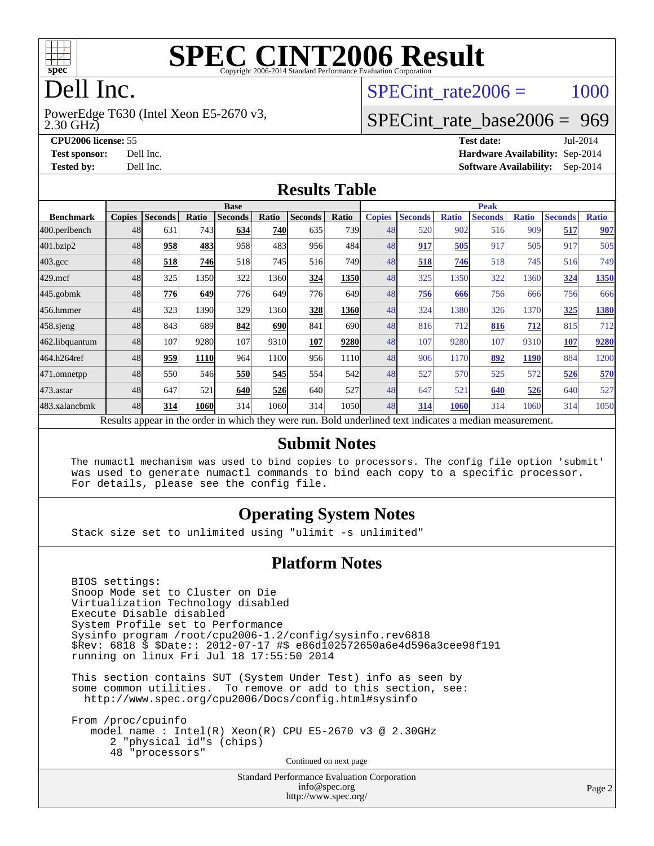

# **[SPEC CINT2006 Result](http://www.spec.org/auto/cpu2006/Docs/result-fields.html#SPECCINT2006Result)**

# Dell Inc.

2.30 GHz) PowerEdge T630 (Intel Xeon E5-2670 v3, SPECint rate $2006 = 1000$ 

#### [SPECint\\_rate\\_base2006 =](http://www.spec.org/auto/cpu2006/Docs/result-fields.html#SPECintratebase2006) 969

**[CPU2006 license:](http://www.spec.org/auto/cpu2006/Docs/result-fields.html#CPU2006license)** 55 **[Test date:](http://www.spec.org/auto/cpu2006/Docs/result-fields.html#Testdate)** Jul-2014 **[Test sponsor:](http://www.spec.org/auto/cpu2006/Docs/result-fields.html#Testsponsor)** Dell Inc. **[Hardware Availability:](http://www.spec.org/auto/cpu2006/Docs/result-fields.html#HardwareAvailability)** Sep-2014 **[Tested by:](http://www.spec.org/auto/cpu2006/Docs/result-fields.html#Testedby)** Dell Inc. **[Software Availability:](http://www.spec.org/auto/cpu2006/Docs/result-fields.html#SoftwareAvailability)** Sep-2014

#### **[Results Table](http://www.spec.org/auto/cpu2006/Docs/result-fields.html#ResultsTable)**

|                                                                                                          | <b>Base</b>   |                |       |                |            |                |            | <b>Peak</b>   |                |              |                |              |                |              |
|----------------------------------------------------------------------------------------------------------|---------------|----------------|-------|----------------|------------|----------------|------------|---------------|----------------|--------------|----------------|--------------|----------------|--------------|
| <b>Benchmark</b>                                                                                         | <b>Copies</b> | <b>Seconds</b> | Ratio | <b>Seconds</b> | Ratio      | <b>Seconds</b> | Ratio      | <b>Copies</b> | <b>Seconds</b> | <b>Ratio</b> | <b>Seconds</b> | <b>Ratio</b> | <b>Seconds</b> | <b>Ratio</b> |
| 400.perlbench                                                                                            | 48            | 631            | 743   | 634            | <b>740</b> | 635            | <b>739</b> | 48            | 520            | 902          | 516            | 909          | 517            | 907          |
| 401.bzip2                                                                                                | 48            | 958            | 483   | 958            | 483        | 956            | 484        | 48            | 917            | 505          | 917            | 505          | 917            | 505          |
| $403.\mathrm{gcc}$                                                                                       | 48            | 518            | 746   | 518            | 745        | 516            | 749        | 48            | 518            | 746          | 518            | 745          | 516            | 749          |
| $429$ .mcf                                                                                               | 48            | 325            | 1350  | 322            | 1360       | 324            | 1350       | 48            | 325            | 1350         | 322            | 1360         | 324            | 1350         |
| $445$ .gobmk                                                                                             | 48            | 776            | 649   | 776            | 649        | 776            | 649        | 48            | 756            | 666          | 756            | 666          | 756            | 666          |
| 456.hmmer                                                                                                | 48            | 323            | 1390  | 329            | 1360       | 328            | 1360       | 48            | 324            | 1380         | 326            | 1370         | 325            | 1380         |
| $458$ .sjeng                                                                                             | 48            | 843            | 689   | 842            | <b>690</b> | 841            | 690l       | 48            | 816            | 712          | 816            | 712          | 815            | 712          |
| 462.libquantum                                                                                           | 48            | 107            | 9280  | 107            | 9310       | 107            | 9280       | 48            | 107            | 9280         | 107            | 9310         | 107            | 9280         |
| 464.h264ref                                                                                              | 48            | 959            | 1110  | 964            | 1100       | 956            | 1110       | 48            | 906            | 1170         | 892            | <b>1190</b>  | 884            | 1200         |
| 471.omnetpp                                                                                              | 48            | 550            | 546   | 550            | 545        | 554            | 542        | 48            | 527            | 570          | 525            | 572          | 526            | 570          |
| $473.$ astar                                                                                             | 48            | 647            | 521   | 640            | 526        | 640            | 527        | 48            | 647            | 521          | 640            | 526          | 640            | 527          |
| 483.xalancbmk                                                                                            | 48            | 314            | 1060  | 314            | 1060       | 314            | 1050l      | 48            | 314            | 1060         | 314            | 1060         | 314            | 1050         |
| Results appear in the order in which they were run. Bold underlined text indicates a median measurement. |               |                |       |                |            |                |            |               |                |              |                |              |                |              |

#### **[Submit Notes](http://www.spec.org/auto/cpu2006/Docs/result-fields.html#SubmitNotes)**

 The numactl mechanism was used to bind copies to processors. The config file option 'submit' was used to generate numactl commands to bind each copy to a specific processor. For details, please see the config file.

#### **[Operating System Notes](http://www.spec.org/auto/cpu2006/Docs/result-fields.html#OperatingSystemNotes)**

Stack size set to unlimited using "ulimit -s unlimited"

#### **[Platform Notes](http://www.spec.org/auto/cpu2006/Docs/result-fields.html#PlatformNotes)**

 BIOS settings: Snoop Mode set to Cluster on Die Virtualization Technology disabled Execute Disable disabled System Profile set to Performance Sysinfo program /root/cpu2006-1.2/config/sysinfo.rev6818 \$Rev: 6818 \$ \$Date:: 2012-07-17 #\$ e86d102572650a6e4d596a3cee98f191 running on linux Fri Jul 18 17:55:50 2014

 This section contains SUT (System Under Test) info as seen by some common utilities. To remove or add to this section, see: <http://www.spec.org/cpu2006/Docs/config.html#sysinfo>

 From /proc/cpuinfo model name : Intel(R) Xeon(R) CPU E5-2670 v3 @ 2.30GHz 2 "physical id"s (chips) 48 "processors" Continued on next page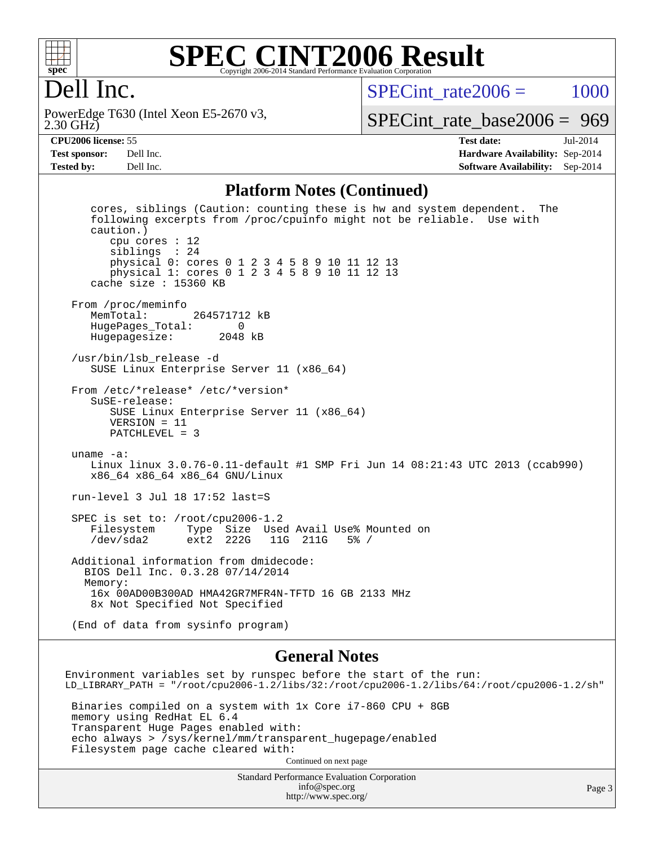

#### **[SPEC CINT2006 Result](http://www.spec.org/auto/cpu2006/Docs/result-fields.html#SPECCINT2006Result)** Copyright 2006-2014 Standard Performance Evaluation Corpora

## Dell Inc.

2.30 GHz) PowerEdge T630 (Intel Xeon E5-2670 v3,  $SPECint rate2006 = 1000$ 

[SPECint\\_rate\\_base2006 =](http://www.spec.org/auto/cpu2006/Docs/result-fields.html#SPECintratebase2006) 969

**[CPU2006 license:](http://www.spec.org/auto/cpu2006/Docs/result-fields.html#CPU2006license)** 55 **[Test date:](http://www.spec.org/auto/cpu2006/Docs/result-fields.html#Testdate)** Jul-2014 **[Test sponsor:](http://www.spec.org/auto/cpu2006/Docs/result-fields.html#Testsponsor)** Dell Inc. **[Hardware Availability:](http://www.spec.org/auto/cpu2006/Docs/result-fields.html#HardwareAvailability)** Sep-2014 **[Tested by:](http://www.spec.org/auto/cpu2006/Docs/result-fields.html#Testedby)** Dell Inc. **[Software Availability:](http://www.spec.org/auto/cpu2006/Docs/result-fields.html#SoftwareAvailability)** Sep-2014

#### **[Platform Notes \(Continued\)](http://www.spec.org/auto/cpu2006/Docs/result-fields.html#PlatformNotes)**

 cores, siblings (Caution: counting these is hw and system dependent. The following excerpts from /proc/cpuinfo might not be reliable. Use with caution.) cpu cores : 12 siblings : 24 physical 0: cores 0 1 2 3 4 5 8 9 10 11 12 13 physical 1: cores 0 1 2 3 4 5 8 9 10 11 12 13 cache size : 15360 KB From /proc/meminfo<br>MemTotal: 264571712 kB HugePages\_Total: 0 Hugepagesize: 2048 kB /usr/bin/lsb\_release -d SUSE Linux Enterprise Server 11 (x86\_64) From /etc/\*release\* /etc/\*version\* SuSE-release: SUSE Linux Enterprise Server 11 (x86\_64) VERSION = 11 PATCHLEVEL = 3 uname -a: Linux linux 3.0.76-0.11-default #1 SMP Fri Jun 14 08:21:43 UTC 2013 (ccab990) x86\_64 x86\_64 x86\_64 GNU/Linux run-level 3 Jul 18 17:52 last=S SPEC is set to: /root/cpu2006-1.2 Filesystem Type Size Used Avail Use% Mounted on /dev/sda2 ext2 222G 11G 211G 5% / Additional information from dmidecode: BIOS Dell Inc. 0.3.28 07/14/2014 Memory: 16x 00AD00B300AD HMA42GR7MFR4N-TFTD 16 GB 2133 MHz 8x Not Specified Not Specified (End of data from sysinfo program)

#### **[General Notes](http://www.spec.org/auto/cpu2006/Docs/result-fields.html#GeneralNotes)**

Environment variables set by runspec before the start of the run: LD\_LIBRARY\_PATH = "/root/cpu2006-1.2/libs/32:/root/cpu2006-1.2/libs/64:/root/cpu2006-1.2/sh" Binaries compiled on a system with 1x Core i7-860 CPU + 8GB memory using RedHat EL 6.4 Transparent Huge Pages enabled with: echo always > /sys/kernel/mm/transparent\_hugepage/enabled Filesystem page cache cleared with: Continued on next page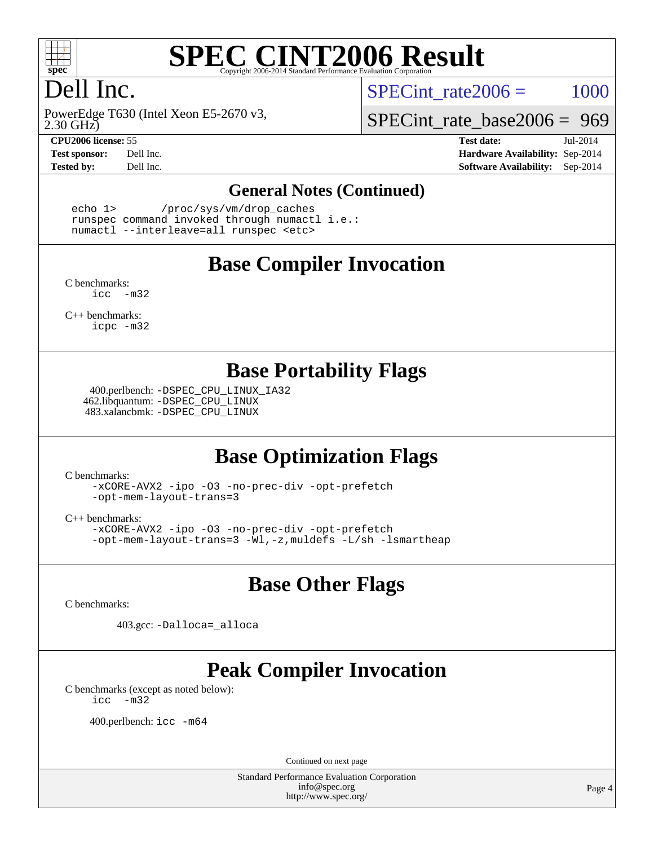

# **[SPEC CINT2006 Result](http://www.spec.org/auto/cpu2006/Docs/result-fields.html#SPECCINT2006Result)**

# Dell Inc.

2.30 GHz) PowerEdge T630 (Intel Xeon E5-2670 v3,

SPECint rate $2006 = 1000$ 

[SPECint\\_rate\\_base2006 =](http://www.spec.org/auto/cpu2006/Docs/result-fields.html#SPECintratebase2006) 969

**[CPU2006 license:](http://www.spec.org/auto/cpu2006/Docs/result-fields.html#CPU2006license)** 55 **[Test date:](http://www.spec.org/auto/cpu2006/Docs/result-fields.html#Testdate)** Jul-2014 **[Test sponsor:](http://www.spec.org/auto/cpu2006/Docs/result-fields.html#Testsponsor)** Dell Inc. **[Hardware Availability:](http://www.spec.org/auto/cpu2006/Docs/result-fields.html#HardwareAvailability)** Sep-2014 **[Tested by:](http://www.spec.org/auto/cpu2006/Docs/result-fields.html#Testedby)** Dell Inc. **[Software Availability:](http://www.spec.org/auto/cpu2006/Docs/result-fields.html#SoftwareAvailability)** Sep-2014

#### **[General Notes \(Continued\)](http://www.spec.org/auto/cpu2006/Docs/result-fields.html#GeneralNotes)**

 echo 1> /proc/sys/vm/drop\_caches runspec command invoked through numactl i.e.: numactl --interleave=all runspec <etc>

#### **[Base Compiler Invocation](http://www.spec.org/auto/cpu2006/Docs/result-fields.html#BaseCompilerInvocation)**

[C benchmarks](http://www.spec.org/auto/cpu2006/Docs/result-fields.html#Cbenchmarks): [icc -m32](http://www.spec.org/cpu2006/results/res2014q3/cpu2006-20140909-31385.flags.html#user_CCbase_intel_icc_5ff4a39e364c98233615fdd38438c6f2)

[C++ benchmarks:](http://www.spec.org/auto/cpu2006/Docs/result-fields.html#CXXbenchmarks) [icpc -m32](http://www.spec.org/cpu2006/results/res2014q3/cpu2006-20140909-31385.flags.html#user_CXXbase_intel_icpc_4e5a5ef1a53fd332b3c49e69c3330699)

#### **[Base Portability Flags](http://www.spec.org/auto/cpu2006/Docs/result-fields.html#BasePortabilityFlags)**

 400.perlbench: [-DSPEC\\_CPU\\_LINUX\\_IA32](http://www.spec.org/cpu2006/results/res2014q3/cpu2006-20140909-31385.flags.html#b400.perlbench_baseCPORTABILITY_DSPEC_CPU_LINUX_IA32) 462.libquantum: [-DSPEC\\_CPU\\_LINUX](http://www.spec.org/cpu2006/results/res2014q3/cpu2006-20140909-31385.flags.html#b462.libquantum_baseCPORTABILITY_DSPEC_CPU_LINUX) 483.xalancbmk: [-DSPEC\\_CPU\\_LINUX](http://www.spec.org/cpu2006/results/res2014q3/cpu2006-20140909-31385.flags.html#b483.xalancbmk_baseCXXPORTABILITY_DSPEC_CPU_LINUX)

## **[Base Optimization Flags](http://www.spec.org/auto/cpu2006/Docs/result-fields.html#BaseOptimizationFlags)**

[C benchmarks](http://www.spec.org/auto/cpu2006/Docs/result-fields.html#Cbenchmarks):

[-xCORE-AVX2](http://www.spec.org/cpu2006/results/res2014q3/cpu2006-20140909-31385.flags.html#user_CCbase_f-xAVX2_5f5fc0cbe2c9f62c816d3e45806c70d7) [-ipo](http://www.spec.org/cpu2006/results/res2014q3/cpu2006-20140909-31385.flags.html#user_CCbase_f-ipo) [-O3](http://www.spec.org/cpu2006/results/res2014q3/cpu2006-20140909-31385.flags.html#user_CCbase_f-O3) [-no-prec-div](http://www.spec.org/cpu2006/results/res2014q3/cpu2006-20140909-31385.flags.html#user_CCbase_f-no-prec-div) [-opt-prefetch](http://www.spec.org/cpu2006/results/res2014q3/cpu2006-20140909-31385.flags.html#user_CCbase_f-opt-prefetch) [-opt-mem-layout-trans=3](http://www.spec.org/cpu2006/results/res2014q3/cpu2006-20140909-31385.flags.html#user_CCbase_f-opt-mem-layout-trans_a7b82ad4bd7abf52556d4961a2ae94d5)

[C++ benchmarks:](http://www.spec.org/auto/cpu2006/Docs/result-fields.html#CXXbenchmarks)

[-xCORE-AVX2](http://www.spec.org/cpu2006/results/res2014q3/cpu2006-20140909-31385.flags.html#user_CXXbase_f-xAVX2_5f5fc0cbe2c9f62c816d3e45806c70d7) [-ipo](http://www.spec.org/cpu2006/results/res2014q3/cpu2006-20140909-31385.flags.html#user_CXXbase_f-ipo) [-O3](http://www.spec.org/cpu2006/results/res2014q3/cpu2006-20140909-31385.flags.html#user_CXXbase_f-O3) [-no-prec-div](http://www.spec.org/cpu2006/results/res2014q3/cpu2006-20140909-31385.flags.html#user_CXXbase_f-no-prec-div) [-opt-prefetch](http://www.spec.org/cpu2006/results/res2014q3/cpu2006-20140909-31385.flags.html#user_CXXbase_f-opt-prefetch) [-opt-mem-layout-trans=3](http://www.spec.org/cpu2006/results/res2014q3/cpu2006-20140909-31385.flags.html#user_CXXbase_f-opt-mem-layout-trans_a7b82ad4bd7abf52556d4961a2ae94d5) [-Wl,-z,muldefs](http://www.spec.org/cpu2006/results/res2014q3/cpu2006-20140909-31385.flags.html#user_CXXbase_link_force_multiple1_74079c344b956b9658436fd1b6dd3a8a) [-L/sh -lsmartheap](http://www.spec.org/cpu2006/results/res2014q3/cpu2006-20140909-31385.flags.html#user_CXXbase_SmartHeap_32f6c82aa1ed9c52345d30cf6e4a0499)

## **[Base Other Flags](http://www.spec.org/auto/cpu2006/Docs/result-fields.html#BaseOtherFlags)**

[C benchmarks](http://www.spec.org/auto/cpu2006/Docs/result-fields.html#Cbenchmarks):

403.gcc: [-Dalloca=\\_alloca](http://www.spec.org/cpu2006/results/res2014q3/cpu2006-20140909-31385.flags.html#b403.gcc_baseEXTRA_CFLAGS_Dalloca_be3056838c12de2578596ca5467af7f3)

# **[Peak Compiler Invocation](http://www.spec.org/auto/cpu2006/Docs/result-fields.html#PeakCompilerInvocation)**

[C benchmarks \(except as noted below\)](http://www.spec.org/auto/cpu2006/Docs/result-fields.html#Cbenchmarksexceptasnotedbelow): [icc -m32](http://www.spec.org/cpu2006/results/res2014q3/cpu2006-20140909-31385.flags.html#user_CCpeak_intel_icc_5ff4a39e364c98233615fdd38438c6f2)

400.perlbench: [icc -m64](http://www.spec.org/cpu2006/results/res2014q3/cpu2006-20140909-31385.flags.html#user_peakCCLD400_perlbench_intel_icc_64bit_bda6cc9af1fdbb0edc3795bac97ada53)

Continued on next page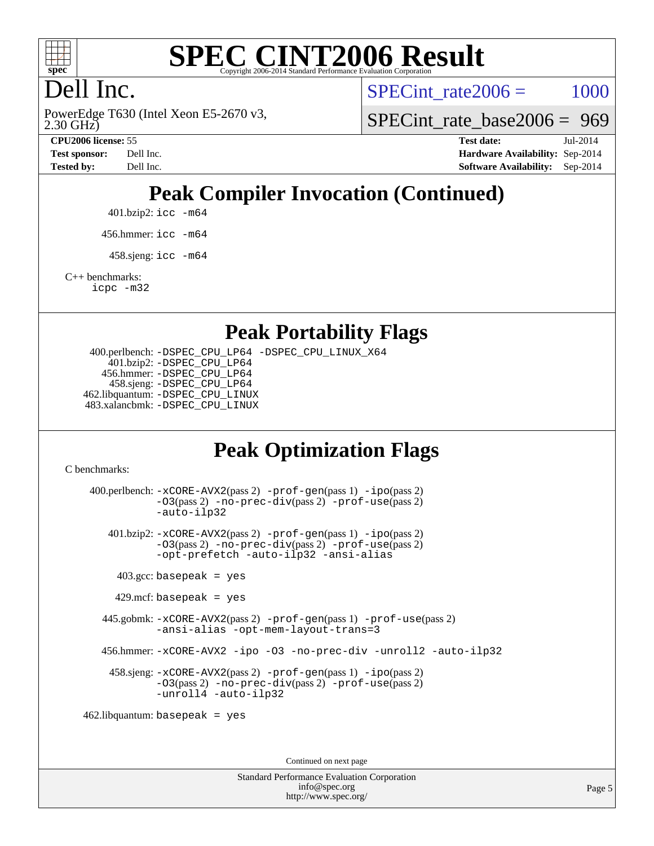

# **[SPEC CINT2006 Result](http://www.spec.org/auto/cpu2006/Docs/result-fields.html#SPECCINT2006Result)**

# Dell Inc.

2.30 GHz) PowerEdge T630 (Intel Xeon E5-2670 v3, SPECint rate $2006 = 1000$ 

[SPECint\\_rate\\_base2006 =](http://www.spec.org/auto/cpu2006/Docs/result-fields.html#SPECintratebase2006) 969

**[CPU2006 license:](http://www.spec.org/auto/cpu2006/Docs/result-fields.html#CPU2006license)** 55 **[Test date:](http://www.spec.org/auto/cpu2006/Docs/result-fields.html#Testdate)** Jul-2014 **[Test sponsor:](http://www.spec.org/auto/cpu2006/Docs/result-fields.html#Testsponsor)** Dell Inc. **[Hardware Availability:](http://www.spec.org/auto/cpu2006/Docs/result-fields.html#HardwareAvailability)** Sep-2014 **[Tested by:](http://www.spec.org/auto/cpu2006/Docs/result-fields.html#Testedby)** Dell Inc. **[Software Availability:](http://www.spec.org/auto/cpu2006/Docs/result-fields.html#SoftwareAvailability)** Sep-2014

# **[Peak Compiler Invocation \(Continued\)](http://www.spec.org/auto/cpu2006/Docs/result-fields.html#PeakCompilerInvocation)**

401.bzip2: [icc -m64](http://www.spec.org/cpu2006/results/res2014q3/cpu2006-20140909-31385.flags.html#user_peakCCLD401_bzip2_intel_icc_64bit_bda6cc9af1fdbb0edc3795bac97ada53)

456.hmmer: [icc -m64](http://www.spec.org/cpu2006/results/res2014q3/cpu2006-20140909-31385.flags.html#user_peakCCLD456_hmmer_intel_icc_64bit_bda6cc9af1fdbb0edc3795bac97ada53)

 $458 \text{.}$ sjeng: icc  $-\text{m64}$ 

[C++ benchmarks:](http://www.spec.org/auto/cpu2006/Docs/result-fields.html#CXXbenchmarks)

[icpc -m32](http://www.spec.org/cpu2006/results/res2014q3/cpu2006-20140909-31385.flags.html#user_CXXpeak_intel_icpc_4e5a5ef1a53fd332b3c49e69c3330699)

#### **[Peak Portability Flags](http://www.spec.org/auto/cpu2006/Docs/result-fields.html#PeakPortabilityFlags)**

 400.perlbench: [-DSPEC\\_CPU\\_LP64](http://www.spec.org/cpu2006/results/res2014q3/cpu2006-20140909-31385.flags.html#b400.perlbench_peakCPORTABILITY_DSPEC_CPU_LP64) [-DSPEC\\_CPU\\_LINUX\\_X64](http://www.spec.org/cpu2006/results/res2014q3/cpu2006-20140909-31385.flags.html#b400.perlbench_peakCPORTABILITY_DSPEC_CPU_LINUX_X64) 401.bzip2: [-DSPEC\\_CPU\\_LP64](http://www.spec.org/cpu2006/results/res2014q3/cpu2006-20140909-31385.flags.html#suite_peakCPORTABILITY401_bzip2_DSPEC_CPU_LP64) 456.hmmer: [-DSPEC\\_CPU\\_LP64](http://www.spec.org/cpu2006/results/res2014q3/cpu2006-20140909-31385.flags.html#suite_peakCPORTABILITY456_hmmer_DSPEC_CPU_LP64) 458.sjeng: [-DSPEC\\_CPU\\_LP64](http://www.spec.org/cpu2006/results/res2014q3/cpu2006-20140909-31385.flags.html#suite_peakCPORTABILITY458_sjeng_DSPEC_CPU_LP64) 462.libquantum: [-DSPEC\\_CPU\\_LINUX](http://www.spec.org/cpu2006/results/res2014q3/cpu2006-20140909-31385.flags.html#b462.libquantum_peakCPORTABILITY_DSPEC_CPU_LINUX) 483.xalancbmk: [-DSPEC\\_CPU\\_LINUX](http://www.spec.org/cpu2006/results/res2014q3/cpu2006-20140909-31385.flags.html#b483.xalancbmk_peakCXXPORTABILITY_DSPEC_CPU_LINUX)

## **[Peak Optimization Flags](http://www.spec.org/auto/cpu2006/Docs/result-fields.html#PeakOptimizationFlags)**

[C benchmarks](http://www.spec.org/auto/cpu2006/Docs/result-fields.html#Cbenchmarks):

 400.perlbench: [-xCORE-AVX2](http://www.spec.org/cpu2006/results/res2014q3/cpu2006-20140909-31385.flags.html#user_peakPASS2_CFLAGSPASS2_LDCFLAGS400_perlbench_f-xAVX2_5f5fc0cbe2c9f62c816d3e45806c70d7)(pass 2) [-prof-gen](http://www.spec.org/cpu2006/results/res2014q3/cpu2006-20140909-31385.flags.html#user_peakPASS1_CFLAGSPASS1_LDCFLAGS400_perlbench_prof_gen_e43856698f6ca7b7e442dfd80e94a8fc)(pass 1) [-ipo](http://www.spec.org/cpu2006/results/res2014q3/cpu2006-20140909-31385.flags.html#user_peakPASS2_CFLAGSPASS2_LDCFLAGS400_perlbench_f-ipo)(pass 2) [-O3](http://www.spec.org/cpu2006/results/res2014q3/cpu2006-20140909-31385.flags.html#user_peakPASS2_CFLAGSPASS2_LDCFLAGS400_perlbench_f-O3)(pass 2) [-no-prec-div](http://www.spec.org/cpu2006/results/res2014q3/cpu2006-20140909-31385.flags.html#user_peakPASS2_CFLAGSPASS2_LDCFLAGS400_perlbench_f-no-prec-div)(pass 2) [-prof-use](http://www.spec.org/cpu2006/results/res2014q3/cpu2006-20140909-31385.flags.html#user_peakPASS2_CFLAGSPASS2_LDCFLAGS400_perlbench_prof_use_bccf7792157ff70d64e32fe3e1250b55)(pass 2) [-auto-ilp32](http://www.spec.org/cpu2006/results/res2014q3/cpu2006-20140909-31385.flags.html#user_peakCOPTIMIZE400_perlbench_f-auto-ilp32) 401.bzip2: [-xCORE-AVX2](http://www.spec.org/cpu2006/results/res2014q3/cpu2006-20140909-31385.flags.html#user_peakPASS2_CFLAGSPASS2_LDCFLAGS401_bzip2_f-xAVX2_5f5fc0cbe2c9f62c816d3e45806c70d7)(pass 2) [-prof-gen](http://www.spec.org/cpu2006/results/res2014q3/cpu2006-20140909-31385.flags.html#user_peakPASS1_CFLAGSPASS1_LDCFLAGS401_bzip2_prof_gen_e43856698f6ca7b7e442dfd80e94a8fc)(pass 1) [-ipo](http://www.spec.org/cpu2006/results/res2014q3/cpu2006-20140909-31385.flags.html#user_peakPASS2_CFLAGSPASS2_LDCFLAGS401_bzip2_f-ipo)(pass 2) [-O3](http://www.spec.org/cpu2006/results/res2014q3/cpu2006-20140909-31385.flags.html#user_peakPASS2_CFLAGSPASS2_LDCFLAGS401_bzip2_f-O3)(pass 2) [-no-prec-div](http://www.spec.org/cpu2006/results/res2014q3/cpu2006-20140909-31385.flags.html#user_peakPASS2_CFLAGSPASS2_LDCFLAGS401_bzip2_f-no-prec-div)(pass 2) [-prof-use](http://www.spec.org/cpu2006/results/res2014q3/cpu2006-20140909-31385.flags.html#user_peakPASS2_CFLAGSPASS2_LDCFLAGS401_bzip2_prof_use_bccf7792157ff70d64e32fe3e1250b55)(pass 2) [-opt-prefetch](http://www.spec.org/cpu2006/results/res2014q3/cpu2006-20140909-31385.flags.html#user_peakCOPTIMIZE401_bzip2_f-opt-prefetch) [-auto-ilp32](http://www.spec.org/cpu2006/results/res2014q3/cpu2006-20140909-31385.flags.html#user_peakCOPTIMIZE401_bzip2_f-auto-ilp32) [-ansi-alias](http://www.spec.org/cpu2006/results/res2014q3/cpu2006-20140909-31385.flags.html#user_peakCOPTIMIZE401_bzip2_f-ansi-alias)  $403.\text{gcc: basepeak}$  = yes  $429$ .mcf: basepeak = yes 445.gobmk: [-xCORE-AVX2](http://www.spec.org/cpu2006/results/res2014q3/cpu2006-20140909-31385.flags.html#user_peakPASS2_CFLAGSPASS2_LDCFLAGS445_gobmk_f-xAVX2_5f5fc0cbe2c9f62c816d3e45806c70d7)(pass 2) [-prof-gen](http://www.spec.org/cpu2006/results/res2014q3/cpu2006-20140909-31385.flags.html#user_peakPASS1_CFLAGSPASS1_LDCFLAGS445_gobmk_prof_gen_e43856698f6ca7b7e442dfd80e94a8fc)(pass 1) [-prof-use](http://www.spec.org/cpu2006/results/res2014q3/cpu2006-20140909-31385.flags.html#user_peakPASS2_CFLAGSPASS2_LDCFLAGS445_gobmk_prof_use_bccf7792157ff70d64e32fe3e1250b55)(pass 2) [-ansi-alias](http://www.spec.org/cpu2006/results/res2014q3/cpu2006-20140909-31385.flags.html#user_peakCOPTIMIZE445_gobmk_f-ansi-alias) [-opt-mem-layout-trans=3](http://www.spec.org/cpu2006/results/res2014q3/cpu2006-20140909-31385.flags.html#user_peakCOPTIMIZE445_gobmk_f-opt-mem-layout-trans_a7b82ad4bd7abf52556d4961a2ae94d5) 456.hmmer: [-xCORE-AVX2](http://www.spec.org/cpu2006/results/res2014q3/cpu2006-20140909-31385.flags.html#user_peakCOPTIMIZE456_hmmer_f-xAVX2_5f5fc0cbe2c9f62c816d3e45806c70d7) [-ipo](http://www.spec.org/cpu2006/results/res2014q3/cpu2006-20140909-31385.flags.html#user_peakCOPTIMIZE456_hmmer_f-ipo) [-O3](http://www.spec.org/cpu2006/results/res2014q3/cpu2006-20140909-31385.flags.html#user_peakCOPTIMIZE456_hmmer_f-O3) [-no-prec-div](http://www.spec.org/cpu2006/results/res2014q3/cpu2006-20140909-31385.flags.html#user_peakCOPTIMIZE456_hmmer_f-no-prec-div) [-unroll2](http://www.spec.org/cpu2006/results/res2014q3/cpu2006-20140909-31385.flags.html#user_peakCOPTIMIZE456_hmmer_f-unroll_784dae83bebfb236979b41d2422d7ec2) [-auto-ilp32](http://www.spec.org/cpu2006/results/res2014q3/cpu2006-20140909-31385.flags.html#user_peakCOPTIMIZE456_hmmer_f-auto-ilp32) 458.sjeng: [-xCORE-AVX2](http://www.spec.org/cpu2006/results/res2014q3/cpu2006-20140909-31385.flags.html#user_peakPASS2_CFLAGSPASS2_LDCFLAGS458_sjeng_f-xAVX2_5f5fc0cbe2c9f62c816d3e45806c70d7)(pass 2) [-prof-gen](http://www.spec.org/cpu2006/results/res2014q3/cpu2006-20140909-31385.flags.html#user_peakPASS1_CFLAGSPASS1_LDCFLAGS458_sjeng_prof_gen_e43856698f6ca7b7e442dfd80e94a8fc)(pass 1) [-ipo](http://www.spec.org/cpu2006/results/res2014q3/cpu2006-20140909-31385.flags.html#user_peakPASS2_CFLAGSPASS2_LDCFLAGS458_sjeng_f-ipo)(pass 2) [-O3](http://www.spec.org/cpu2006/results/res2014q3/cpu2006-20140909-31385.flags.html#user_peakPASS2_CFLAGSPASS2_LDCFLAGS458_sjeng_f-O3)(pass 2) [-no-prec-div](http://www.spec.org/cpu2006/results/res2014q3/cpu2006-20140909-31385.flags.html#user_peakPASS2_CFLAGSPASS2_LDCFLAGS458_sjeng_f-no-prec-div)(pass 2) [-prof-use](http://www.spec.org/cpu2006/results/res2014q3/cpu2006-20140909-31385.flags.html#user_peakPASS2_CFLAGSPASS2_LDCFLAGS458_sjeng_prof_use_bccf7792157ff70d64e32fe3e1250b55)(pass 2) [-unroll4](http://www.spec.org/cpu2006/results/res2014q3/cpu2006-20140909-31385.flags.html#user_peakCOPTIMIZE458_sjeng_f-unroll_4e5e4ed65b7fd20bdcd365bec371b81f) [-auto-ilp32](http://www.spec.org/cpu2006/results/res2014q3/cpu2006-20140909-31385.flags.html#user_peakCOPTIMIZE458_sjeng_f-auto-ilp32) 462.libquantum: basepeak = yes

Continued on next page